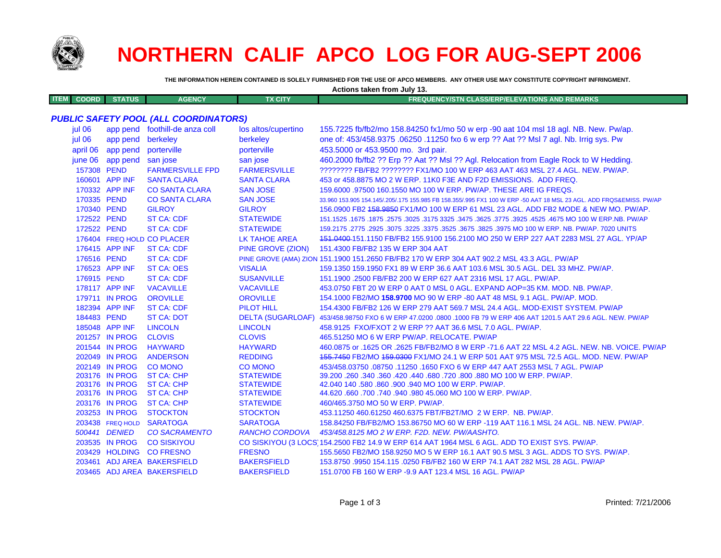

## NORTHERN CALIF APCO LOG FOR AUG-SEPT 2006

THE INFORMATION HEREIN CONTAINED IS SOLELY FURNISHED FOR THE USE OF APCO MEMBERS. ANY OTHER USE MAY CONSTITUTE COPYRIGHT INFRINGMENT.

Actions taken from July 13

|                             |                  |                                              |                          | AUDIO LANGII IIUIII JUIY 13.                                                                                        |
|-----------------------------|------------------|----------------------------------------------|--------------------------|---------------------------------------------------------------------------------------------------------------------|
| <b>ITEM</b><br><b>COORD</b> | <b>STATUS</b>    | <b>AGENCY</b>                                | <b>TX CITY</b>           | <b>FREQUENCY/STN CLASS/ERP/ELEVATIONS AND REMARKS</b>                                                               |
|                             |                  |                                              |                          |                                                                                                                     |
|                             |                  | <b>PUBLIC SAFETY POOL (ALL COORDINATORS)</b> |                          |                                                                                                                     |
| jul 06                      |                  | app pend foothill-de anza coll               | los altos/cupertino      | 155.7225 fb/fb2/mo 158.84250 fx1/mo 50 w erp -90 aat 104 msl 18 agl. NB. New. Pw/ap.                                |
| jul 06                      | app pend         | berkeley                                     | berkeley                 | one of: 453/458.9375 .06250 .11250 fxo 6 w erp ?? Aat ?? Msl 7 agl. Nb. Irrig sys. Pw                               |
| april 06                    | app pend         | porterville                                  | porterville              | 453.5000 or 453.9500 mo. 3rd pair.                                                                                  |
| june 06                     | app pend         | san jose                                     | san jose                 | 460.2000 fb/fb2 ?? Erp ?? Aat ?? Msl ?? Agl. Relocation from Eagle Rock to W Hedding.                               |
|                             | 157308 PEND      | <b>FARMERSVILLE FPD</b>                      | <b>FARMERSVILLE</b>      | ???????? FB/FB2 ???????? FX1/MO 100 W ERP 463 AAT 463 MSL 27.4 AGL, NEW, PW/AP,                                     |
|                             | 160601 APP INF   | <b>SANTA CLARA</b>                           | <b>SANTA CLARA</b>       | 453 or 458.8875 MO 2 W ERP. 11K0 F3E AND F2D EMISSIONS. ADD FREQ.                                                   |
|                             | 170332 APP INF   | <b>CO SANTA CLARA</b>                        | <b>SAN JOSE</b>          | 159,6000 .97500 160.1550 MO 100 W ERP. PW/AP. THESE ARE IG FREQS.                                                   |
|                             | 170335 PEND      | <b>CO SANTA CLARA</b>                        | <b>SAN JOSE</b>          | 33.960 153.905 154.145/.205/.175 155.985 FB 158.355/.995 FX1 100 W ERP -50 AAT 18 MSL 23 AGL. ADD FRQS&EMISS. PW/AP |
|                             | 170340 PEND      | <b>GILROY</b>                                | <b>GILROY</b>            | 156.0900 FB2 458.9850 FX1/MO 100 W ERP 61 MSL 23 AGL. ADD FB2 MODE & NEW MO. PW/AP.                                 |
|                             | 172522 PEND      | <b>ST CA: CDF</b>                            | <b>STATEWIDE</b>         | 151.1525 .1675 .1875 .2575 .3025 .3175 3325 .3475 .3625 .3775 .3925 .4525 .4675 MO 100 W ERP.NB. PW/AP              |
|                             | 172522 PEND      | ST CA: CDF                                   | <b>STATEWIDE</b>         | 159.2175 .2775 .2925 .3075 .3225 .3375 .3525 .3675 .3825 .3975 MO 100 W ERP. NB. PW/AP. 7020 UNITS                  |
|                             |                  | 176404 FREQ HOLD CO PLACER                   | <b>LK TAHOE AREA</b>     | 151.0400-151.1150 FB/FB2 155.9100 156.2100 MO 250 W ERP 227 AAT 2283 MSL 27 AGL. YP/AP                              |
|                             | 176415 APP INF   | <b>ST CA: CDF</b>                            | PINE GROVE (ZION)        | 151.4300 FB/FB2 135 W ERP 304 AAT                                                                                   |
|                             | 176516 PEND      | <b>ST CA: CDF</b>                            |                          | PINE GROVE (AMA) ZION 151.1900 151.2650 FB/FB2 170 W ERP 304 AAT 902.2 MSL 43.3 AGL. PW/AP                          |
|                             | 176523 APP INF   | <b>ST CA: OES</b>                            | <b>VISALIA</b>           | 159.1350 159.1950 FX1 89 W ERP 36.6 AAT 103.6 MSL 30.5 AGL. DEL 33 MHZ. PW/AP.                                      |
|                             | 176915 PEND      | <b>ST CA: CDF</b>                            | <b>SUSANVILLE</b>        | 151.1900 .2500 FB/FB2 200 W ERP 627 AAT 2316 MSL 17 AGL. PW/AP.                                                     |
|                             | 178117 APP INF   | <b>VACAVILLE</b>                             | <b>VACAVILLE</b>         | 453.0750 FBT 20 W ERP 0 AAT 0 MSL 0 AGL. EXPAND AOP=35 KM. MOD. NB. PW/AP.                                          |
|                             | 179711 IN PROG   | <b>OROVILLE</b>                              | <b>OROVILLE</b>          | 154.1000 FB2/MO 158.9700 MO 90 W ERP -80 AAT 48 MSL 9.1 AGL. PW/AP. MOD.                                            |
|                             | 182394 APP INF   | <b>ST CA: CDF</b>                            | <b>PILOT HILL</b>        | 154,4300 FB/FB2 126 W ERP 279 AAT 569.7 MSL 24.4 AGL, MOD-EXIST SYSTEM, PW/AP                                       |
|                             | 184483 PEND      | <b>ST CA: DOT</b>                            | <b>DELTA (SUGARLOAF)</b> | 453/458.98750 FXO 6 W ERP 47.0200 .0800 .1000 FB 79 W ERP 406 AAT 1201.5 AAT 29.6 AGL. NEW. PW/AP                   |
|                             | 185048 APP INF   | <b>LINCOLN</b>                               | <b>LINCOLN</b>           | 458.9125 FXO/FXOT 2 W ERP ?? AAT 36.6 MSL 7.0 AGL, PW/AP.                                                           |
|                             | 201257 IN PROG   | <b>CLOVIS</b>                                | <b>CLOVIS</b>            | 465.51250 MO 6 W ERP PW/AP. RELOCATE. PW/AP                                                                         |
|                             | 201544 IN PROG   | <b>HAYWARD</b>                               | <b>HAYWARD</b>           | 460.0875 or .1625 OR .2625 FB/FB2/MO 8 W ERP -71.6 AAT 22 MSL 4.2 AGL. NEW. NB. VOICE. PW/AP                        |
|                             | 202049 IN PROG   | <b>ANDERSON</b>                              | <b>REDDING</b>           | 155,7450 FB2/MO 159,0300 FX1/MO 24.1 W ERP 501 AAT 975 MSL 72.5 AGL, MOD, NEW, PW/AP                                |
|                             | 202149 IN PROG   | <b>CO MONO</b>                               | <b>CO MONO</b>           | 453/458.03750.08750.11250.1650 FXO 6 W ERP 447 AAT 2553 MSL 7 AGL. PW/AP                                            |
|                             | 203176 IN PROG   | <b>ST CA: CHP</b>                            | <b>STATEWIDE</b>         | 39.200 .260 .340 .360 .420 .440 .680 .720 .800 .880 MO 100 W ERP. PW/AP.                                            |
|                             | 203176 IN PROG   | <b>ST CA: CHP</b>                            | <b>STATEWIDE</b>         | 42.040 140 .580 .860 .900 .940 MO 100 W ERP. PW/AP.                                                                 |
|                             | 203176 IN PROG   | <b>ST CA: CHP</b>                            | <b>STATEWIDE</b>         | 44.620 .660 .700 .740 .940 .980 45.060 MO 100 W ERP. PW/AP.                                                         |
|                             | 203176 IN PROG   | <b>ST CA: CHP</b>                            | <b>STATEWIDE</b>         | 460/465.3750 MO 50 W ERP. PW/AP.                                                                                    |
|                             | 203253 IN PROG   | <b>STOCKTON</b>                              | <b>STOCKTON</b>          | 453.11250 460.61250 460.6375 FBT/FB2T/MO 2 W ERP. NB. PW/AP.                                                        |
|                             | 203438 FREQ HOLD | <b>SARATOGA</b>                              | <b>SARATOGA</b>          | 158.84250 FB/FB2/MO 153.86750 MO 60 W ERP -119 AAT 116.1 MSL 24 AGL. NB. NEW. PW/AP.                                |
|                             | 500441 DENIED    | <b>CO SACRAMENTO</b>                         | <b>RANCHO CORDOVA</b>    | 453/458.8125 MO 2 W ERP. F2D. NEW. PW/AASHTO.                                                                       |
|                             | 203535 IN PROG   | <b>CO SISKIYOU</b>                           |                          | CO SISKIYOU (3 LOCS) 154.2500 FB2 14.9 W ERP 614 AAT 1964 MSL 6 AGL. ADD TO EXIST SYS. PW/AP.                       |
|                             | 203429 HOLDING   | <b>CO FRESNO</b>                             | <b>FRESNO</b>            | 155,5650 FB2/MO 158,9250 MO 5 W ERP 16.1 AAT 90.5 MSL 3 AGL, ADDS TO SYS, PW/AP.                                    |
|                             |                  | 203461 ADJ AREA BAKERSFIELD                  | <b>BAKERSFIELD</b>       | 153.8750 .9950 154.115 .0250 FB/FB2 160 W ERP 74.1 AAT 282 MSL 28 AGL. PW/AP                                        |
|                             |                  | 203465 ADJ AREA BAKERSFIELD                  | <b>BAKERSFIELD</b>       | 151,0700 FB 160 W ERP -9.9 AAT 123.4 MSL 16 AGL, PW/AP                                                              |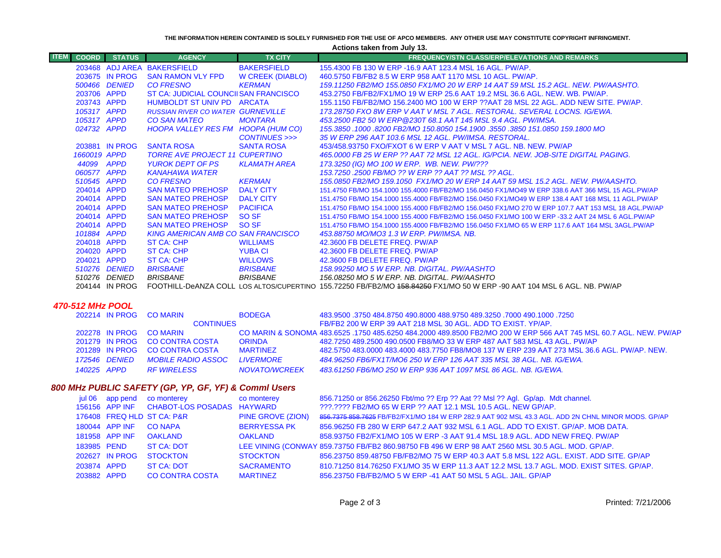**THE INFORMATION HEREIN CONTAINED IS SOLELY FURNISHED FOR THE USE OF APCO MEMBERS. ANY OTHER USE MAY CONSTITUTE COPYRIGHT INFRINGMENT.**

**Actions taken from July 13.**

| <b>COORD</b> | <b>STATUS</b>  | <b>AGENCY</b>                             | <b>TX CITY</b>          | <b>FREQUENCY/STN CLASS/ERP/ELEVATIONS AND REMARKS</b>                                                                   |
|--------------|----------------|-------------------------------------------|-------------------------|-------------------------------------------------------------------------------------------------------------------------|
|              |                | 203468 ADJ AREA BAKERSFIELD               | <b>BAKERSFIELD</b>      | 155,4300 FB 130 W ERP -16.9 AAT 123.4 MSL 16 AGL, PW/AP.                                                                |
|              | 203675 IN PROG | <b>SAN RAMON VLY FPD</b>                  | <b>W CREEK (DIABLO)</b> | 460.5750 FB/FB2 8.5 W ERP 958 AAT 1170 MSL 10 AGL, PW/AP.                                                               |
|              | 500466 DENIED  | <b>CO FRESNO</b>                          | <b>KERMAN</b>           | 159.11250 FB2/MO 155.0850 FX1/MO 20 W ERP 14 AAT 59 MSL 15.2 AGL. NEW. PW/AASHTO.                                       |
| 203706 APPD  |                | ST CA: JUDICIAL COUNCIISAN FRANCISCO      |                         | 453.2750 FB/FB2/FX1/MO 19 W ERP 25.6 AAT 19.2 MSL 36.6 AGL, NEW, WB, PW/AP,                                             |
| 203743 APPD  |                | HUMBOLDT ST UNIV PD ARCATA                |                         | 155.1150 FB/FB2/MO 156.2400 MO 100 W ERP ??AAT 28 MSL 22 AGL. ADD NEW SITE, PW/AP,                                      |
| 105317 APPD  |                | <b>RUSSIAN RIVER CO WATER GURNEVILLE</b>  |                         | 173.28750 FXO 8W ERP V AAT V MSL 7 AGL. RESTORAL. SEVERAL LOCNS. IG/EWA.                                                |
| 105317 APPD  |                | <b>CO SAN MATEO</b>                       | <b>MONTARA</b>          | 453.2500 FB2 50 W ERP @230T 68.1 AAT 145 MSL 9.4 AGL. PW/IMSA.                                                          |
| 024732 APPD  |                | HOOPA VALLEY RES FM HOOPA (HUM CO)        |                         | 155,3850 .1000 .8200 FB2/MO 150,8050 154,1900 .3550 .3850 151,0850 159,1800 MO                                          |
|              |                |                                           | CONTINUES >>>           | 35 W ERP 296 AAT 103.6 MSL 12 AGL. PW/IMSA. RESTORAL.                                                                   |
|              | 203881 IN PROG | <b>SANTA ROSA</b>                         | <b>SANTA ROSA</b>       | 453/458.93750 FXO/FXOT 6 W ERP V AAT V MSL 7 AGL, NB, NEW, PW/AP                                                        |
| 1660019 APPD |                | <b>TORRE AVE PROJECT 11 CUPERTINO</b>     |                         | 465,0000 FB 25 W ERP ?? AAT 72 MSL 12 AGL. IG/PCIA. NEW. JOB-SITE DIGITAL PAGING.                                       |
| 44099 APPD   |                | YUROK DEPT OF PS                          | KLAMATH AREA            | 173.3250 (IG) MO 100 W ERP. WB. NEW. PW/???                                                                             |
| 060577 APPD  |                | <b>KANAHAWA WATER</b>                     |                         | 153.7250 .2500 FB/MO ?? W ERP ?? AAT ?? MSL ?? AGL.                                                                     |
| 510545 APPD  |                | <b>CO FRESNO</b>                          | <b>KERMAN</b>           | 155,0850 FB2/MO 159,1050 FX1/MO 20 W ERP 14 AAT 59 MSL 15.2 AGL, NEW, PW/AASHTO,                                        |
| 204014 APPD  |                | <b>SAN MATEO PREHOSP</b>                  | <b>DALY CITY</b>        | 151.4750 FB/MO 154.1000 155.4000 FB/FB2/MO 156.0450 FX1/MO49 W ERP 338.6 AAT 366 MSL 15 AGL.PW/AP                       |
| 204014 APPD  |                | <b>SAN MATEO PREHOSP</b>                  | <b>DALY CITY</b>        | 151.4750 FB/MO 154.1000 155.4000 FB/FB2/MO 156.0450 FX1/MO49 W ERP 138.4 AAT 168 MSL 11 AGL.PW/AP                       |
| 204014 APPD  |                | <b>SAN MATEO PREHOSP</b>                  | <b>PACIFICA</b>         | 151.4750 FB/MO 154.1000 155.4000 FB/FB2/MO 156.0450 FX1/MO 270 W ERP 107.7 AAT 153 MSL 18 AGL.PW/AP                     |
| 204014 APPD  |                | <b>SAN MATEO PREHOSP</b>                  | <b>SO SF</b>            | 151.4750 FB/MO 154.1000 155.4000 FB/FB2/MO 156.0450 FX1/MO 100 W ERP -33.2 AAT 24 MSL 6 AGL.PW/AP                       |
| 204014 APPD  |                | <b>SAN MATEO PREHOSP</b>                  | <b>SO SF</b>            | 151.4750 FB/MO 154.1000 155.4000 FB/FB2/MO 156.0450 FX1/MO 65 W ERP 117.6 AAT 164 MSL 3AGL.PW/AP                        |
| 101884 APPD  |                | <b>KING AMERICAN AMB CO SAN FRANCISCO</b> |                         | 453.88750 MO/MO3 1.3 W ERP. PW/IMSA, NB.                                                                                |
| 204018 APPD  |                | ST CA: CHP                                | <b>WILLIAMS</b>         | 42.3600 FB DELETE FREQ. PW/AP                                                                                           |
| 204020 APPD  |                | <b>ST CA: CHP</b>                         | <b>YUBA CI</b>          | 42.3600 FB DELETE FREQ. PW/AP                                                                                           |
| 204021 APPD  |                | <b>ST CA: CHP</b>                         | <b>WILLOWS</b>          | 42.3600 FB DELETE FREQ. PW/AP                                                                                           |
|              | 510276 DENIED  | <b>BRISBANE</b>                           | <b>BRISBANE</b>         | 158.99250 MO 5 W ERP. NB. DIGITAL. PW/AASHTO                                                                            |
|              | 510276 DENIED  | <b>BRISBANE</b>                           | <b>BRISBANE</b>         | 156.08250 MO 5 W ERP. NB. DIGITAL. PW/AASHTO                                                                            |
|              | 204144 IN PROG |                                           |                         | FOOTHILL-DeANZA COLL LOS ALTOS/CUPERTINO 155.72250 FB/FB2/MO 158.84250 FX1/MO 50 W ERP -90 AAT 104 MSL 6 AGL. NB. PW/AP |

## *470-512 MHz POOL*

|  |               | 202214 IN PROG CO MARIN        |                  | <b>BODEGA</b>        | 483.9500 .3750 484.8750 490.8000 488.9750 489.3250 .7000 490.1000 .7250                                           |  |
|--|---------------|--------------------------------|------------------|----------------------|-------------------------------------------------------------------------------------------------------------------|--|
|  |               |                                | <b>CONTINUES</b> |                      | FB/FB2 200 W ERP 39 AAT 218 MSL 30 AGL. ADD TO EXIST, YP/AP.                                                      |  |
|  |               | 202278 IN PROG CO MARIN        |                  |                      | CO MARIN & SONOMA 483,6525 .1750 485,6250 484,2000 489,8500 FB2/MO 200 W ERP 566 AAT 745 MSL 60.7 AGL. NEW, PW/AP |  |
|  |               | 201279 IN PROG CO CONTRA COSTA |                  | <b>ORINDA</b>        | 482,7250 489,2500 490,0500 FB8/MO 33 W ERP 487 AAT 583 MSL 43 AGL, PW/AP                                          |  |
|  |               | 201289 IN PROG CO CONTRA COSTA |                  | <b>MARTINFZ</b>      | 482,5750 483,0000 483,4000 483,7750 FB8/MO8 137 W ERP 239 AAT 273 MSL 36.6 AGL, PW/AP, NEW,                       |  |
|  | 172546 DENIED | <b>MOBILE RADIO ASSOC</b>      |                  | <i>I IVERMORE</i>    | 484.96250 FB6/FX1T/MO6 250 W ERP 126 AAT 335 MSL 38 AGL. NB. IG/EWA.                                              |  |
|  | 140225 APPD   | RF WIRFI FSS                   |                  | <b>NOVATO/WCREEK</b> | 483.61250 FB6/MO 250 W ERP 936 AAT 1097 MSL 86 AGL. NB. IG/EWA.                                                   |  |

## *800 MHz PUBLIC SAFETY (GP, YP, GF, YF) & Comml Users*

|             |                | jul 06 app pend co monterey               | co monterey         | 856.71250 or 856.26250 Fbt/mo ?? Erp ?? Aat ?? Msl ?? Agl. Gp/ap. Mdt channel.                      |
|-------------|----------------|-------------------------------------------|---------------------|-----------------------------------------------------------------------------------------------------|
|             |                | 156156 APP INF CHABOT-LOS POSADAS HAYWARD |                     | ???.???? FB2/MO 65 W ERP ?? AAT 12.1 MSL 10.5 AGL. NEW GP/AP.                                       |
|             |                | 176408 FREQ HLD ST CA: P&R                | PINE GROVE (ZION)   | 856.7375 858.7625 FB/FB2/FX1/MO 184 W ERP 282.9 AAT 902 MSL 43.3 AGL. ADD 2N CHNL MINOR MODS. GP/AP |
|             | 180044 APP INF | <b>CO NAPA</b>                            | <b>BERRYESSA PK</b> | 856,96250 FB 280 W ERP 647.2 AAT 932 MSL 6.1 AGL, ADD TO EXIST, GP/AP, MOB DATA,                    |
|             | 181958 APP INF | OAKLAND                                   | <b>OAKI AND</b>     | 858.93750 FB2/FX1/MO 105 W ERP -3 AAT 91.4 MSL 18.9 AGL, ADD NEW FREQ, PW/AP                        |
| 183985 PEND |                | <b>ST CA: DOT</b>                         |                     | LEE VINING (CONWAY 859.73750 FB/FB2 860.98750 FB 496 W ERP 98 AAT 2560 MSL 30.5 AGL. MOD. GP/AP.    |
|             | 202627 IN PROG | <b>STOCKTON</b>                           | <b>STOCKTON</b>     | 856.23750 859.48750 FB/FB2/MO 75 W ERP 40.3 AAT 5.8 MSL 122 AGL. EXIST, ADD SITE, GP/AP             |
| 203874 APPD |                | ST CA: NOT                                | <b>SACRAMENTO</b>   | 810.71250 814.76250 FX1/MO 35 W ERP 11.3 AAT 12.2 MSL 13.7 AGL, MOD, EXIST SITES, GP/AP,            |
| 203882 APPD |                | <b>CO CONTRA COSTA</b>                    | <b>MARTINEZ</b>     | 856.23750 FB/FB2/MO 5 W ERP -41 AAT 50 MSL 5 AGL, JAIL, GP/AP                                       |

 $\mathcal{L}_{\mathcal{A}}$